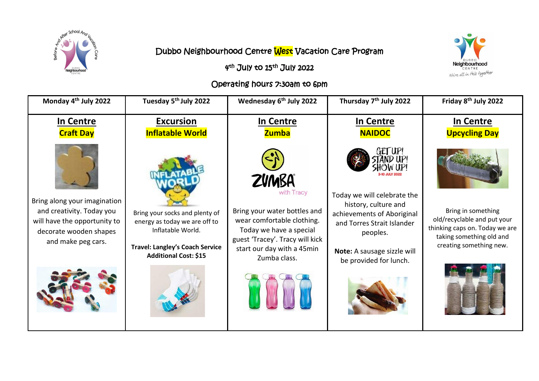

## Dubbo Neighbourhood Centre West Vacation Care Program

**Neighbourhood**<br>CENTRE<br>We're all in this together

## 4<sup>th</sup> July to 15<sup>th</sup> July 2022

## Operating hours 7:30am to 6pm

| Monday 4 <sup>th</sup> July 2022                                                                                                          | Tuesday 5 <sup>th</sup> July 2022                                                                                                                              | Wednesday 6 <sup>th</sup> July 2022                                                                                                                                                                  | Thursday 7 <sup>th</sup> July 2022                                                                                                                                                   | Friday 8 <sup>th</sup> July 2022                                                                                                           |
|-------------------------------------------------------------------------------------------------------------------------------------------|----------------------------------------------------------------------------------------------------------------------------------------------------------------|------------------------------------------------------------------------------------------------------------------------------------------------------------------------------------------------------|--------------------------------------------------------------------------------------------------------------------------------------------------------------------------------------|--------------------------------------------------------------------------------------------------------------------------------------------|
| In Centre<br><b>Craft Day</b>                                                                                                             | <b>Excursion</b><br><b>Inflatable World</b>                                                                                                                    | In Centre<br><b>Zumba</b>                                                                                                                                                                            | In Centre<br><b>NAIDOC</b>                                                                                                                                                           | In Centre<br><b>Upcycling Day</b>                                                                                                          |
| Bring along your imagination<br>and creativity. Today you<br>will have the opportunity to<br>decorate wooden shapes<br>and make peg cars. | Bring your socks and plenty of<br>energy as today we are off to<br>Inflatable World.<br><b>Travel: Langley's Coach Service</b><br><b>Additional Cost: \$15</b> | <b>ZVMBA</b><br>with Tracy<br>Bring your water bottles and<br>wear comfortable clothing.<br>Today we have a special<br>guest 'Tracey'. Tracy will kick<br>start our day with a 45min<br>Zumba class. | Today we will celebrate the<br>history, culture and<br>achievements of Aboriginal<br>and Torres Strait Islander<br>peoples.<br>Note: A sausage sizzle will<br>be provided for lunch. | Bring in something<br>old/recyclable and put your<br>thinking caps on. Today we are<br>taking something old and<br>creating something new. |